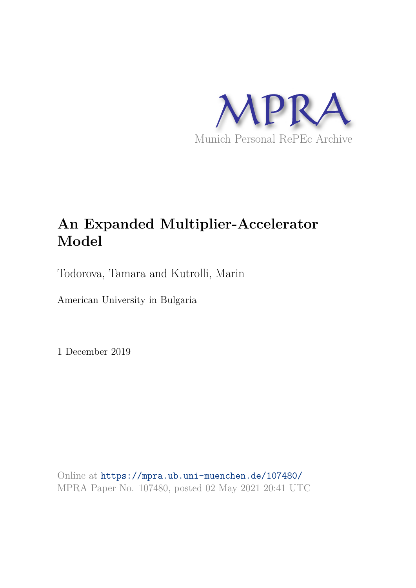

# **An Expanded Multiplier-Accelerator Model**

Todorova, Tamara and Kutrolli, Marin

American University in Bulgaria

1 December 2019

Online at https://mpra.ub.uni-muenchen.de/107480/ MPRA Paper No. 107480, posted 02 May 2021 20:41 UTC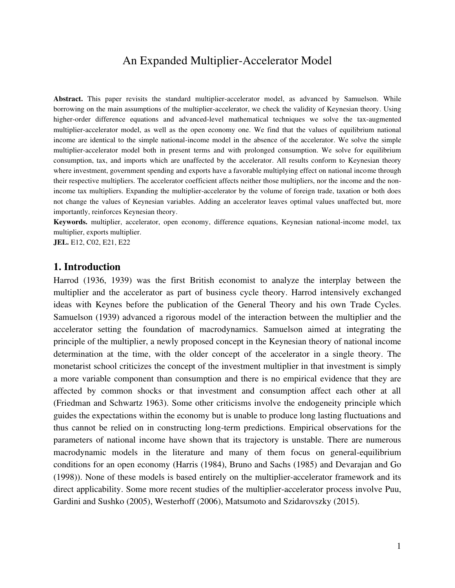## An Expanded Multiplier-Accelerator Model

**Abstract.** This paper revisits the standard multiplier-accelerator model, as advanced by Samuelson. While borrowing on the main assumptions of the multiplier-accelerator, we check the validity of Keynesian theory. Using higher-order difference equations and advanced-level mathematical techniques we solve the tax-augmented multiplier-accelerator model, as well as the open economy one. We find that the values of equilibrium national income are identical to the simple national-income model in the absence of the accelerator. We solve the simple multiplier-accelerator model both in present terms and with prolonged consumption. We solve for equilibrium consumption, tax, and imports which are unaffected by the accelerator. All results conform to Keynesian theory where investment, government spending and exports have a favorable multiplying effect on national income through their respective multipliers. The accelerator coefficient affects neither those multipliers, nor the income and the nonincome tax multipliers. Expanding the multiplier-accelerator by the volume of foreign trade, taxation or both does not change the values of Keynesian variables. Adding an accelerator leaves optimal values unaffected but, more importantly, reinforces Keynesian theory.

**Keywords.** multiplier, accelerator, open economy, difference equations, Keynesian national-income model, tax multiplier, exports multiplier.

**JEL.** E12, C02, E21, E22

#### **1. Introduction**

Harrod (1936, 1939) was the first British economist to analyze the interplay between the multiplier and the accelerator as part of business cycle theory. Harrod intensively exchanged ideas with Keynes before the publication of the General Theory and his own Trade Cycles. Samuelson (1939) advanced a rigorous model of the interaction between the multiplier and the accelerator setting the foundation of macrodynamics. Samuelson aimed at integrating the principle of the multiplier, a newly proposed concept in the Keynesian theory of national income determination at the time, with the older concept of the accelerator in a single theory. The monetarist school criticizes the concept of the investment multiplier in that investment is simply a more variable component than consumption and there is no empirical evidence that they are affected by common shocks or that investment and consumption affect each other at all (Friedman and Schwartz 1963). Some other criticisms involve the endogeneity principle which guides the expectations within the economy but is unable to produce long lasting fluctuations and thus cannot be relied on in constructing long-term predictions. Empirical observations for the parameters of national income have shown that its trajectory is unstable. There are numerous macrodynamic models in the literature and many of them focus on general-equilibrium conditions for an open economy (Harris (1984), Bruno and Sachs (1985) and Devarajan and Go (1998)). None of these models is based entirely on the multiplier-accelerator framework and its direct applicability. Some more recent studies of the multiplier-accelerator process involve Puu, Gardini and Sushko (2005), Westerhoff (2006), Matsumoto and Szidarovszky (2015).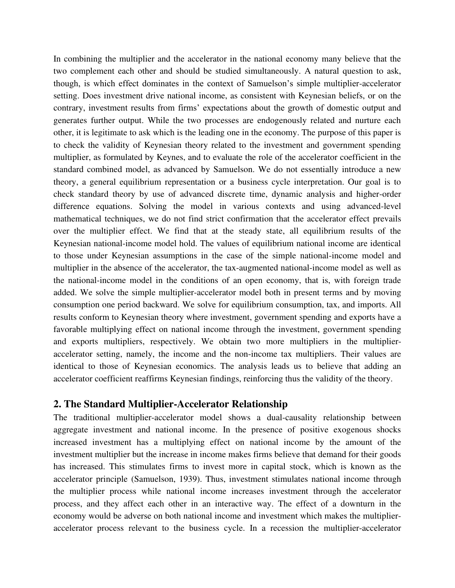In combining the multiplier and the accelerator in the national economy many believe that the two complement each other and should be studied simultaneously. A natural question to ask, though, is which effect dominates in the context of Samuelson's simple multiplier-accelerator setting. Does investment drive national income, as consistent with Keynesian beliefs, or on the contrary, investment results from firms' expectations about the growth of domestic output and generates further output. While the two processes are endogenously related and nurture each other, it is legitimate to ask which is the leading one in the economy. The purpose of this paper is to check the validity of Keynesian theory related to the investment and government spending multiplier, as formulated by Keynes, and to evaluate the role of the accelerator coefficient in the standard combined model, as advanced by Samuelson. We do not essentially introduce a new theory, a general equilibrium representation or a business cycle interpretation. Our goal is to check standard theory by use of advanced discrete time, dynamic analysis and higher-order difference equations. Solving the model in various contexts and using advanced-level mathematical techniques, we do not find strict confirmation that the accelerator effect prevails over the multiplier effect. We find that at the steady state, all equilibrium results of the Keynesian national-income model hold. The values of equilibrium national income are identical to those under Keynesian assumptions in the case of the simple national-income model and multiplier in the absence of the accelerator, the tax-augmented national-income model as well as the national-income model in the conditions of an open economy, that is, with foreign trade added. We solve the simple multiplier-accelerator model both in present terms and by moving consumption one period backward. We solve for equilibrium consumption, tax, and imports. All results conform to Keynesian theory where investment, government spending and exports have a favorable multiplying effect on national income through the investment, government spending and exports multipliers, respectively. We obtain two more multipliers in the multiplieraccelerator setting, namely, the income and the non-income tax multipliers. Their values are identical to those of Keynesian economics. The analysis leads us to believe that adding an accelerator coefficient reaffirms Keynesian findings, reinforcing thus the validity of the theory.

### **2. The Standard Multiplier-Accelerator Relationship**

The traditional multiplier-accelerator model shows a dual-causality relationship between aggregate investment and national income. In the presence of positive exogenous shocks increased investment has a multiplying effect on national income by the amount of the investment multiplier but the increase in income makes firms believe that demand for their goods has increased. This stimulates firms to invest more in capital stock, which is known as the accelerator principle (Samuelson, 1939). Thus, investment stimulates national income through the multiplier process while national income increases investment through the accelerator process, and they affect each other in an interactive way. The effect of a downturn in the economy would be adverse on both national income and investment which makes the multiplieraccelerator process relevant to the business cycle. In a recession the multiplier-accelerator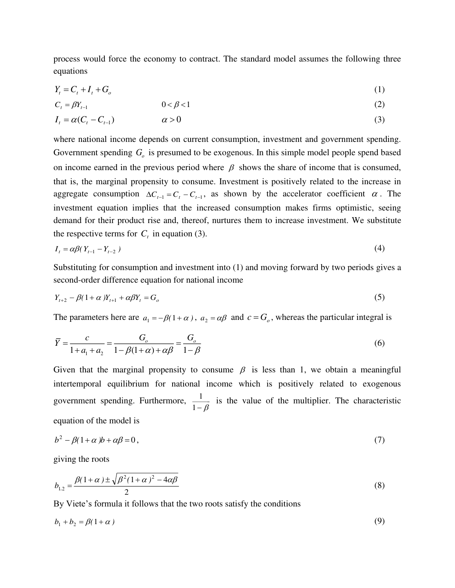process would force the economy to contract. The standard model assumes the following three equations

$$
Y_t = C_t + I_t + G_o \tag{1}
$$

$$
C_t = \beta Y_{t-1} \tag{2}
$$

$$
I_t = \alpha (C_t - C_{t-1}) \qquad \alpha > 0 \tag{3}
$$

where national income depends on current consumption, investment and government spending. Government spending  $G$ <sub>o</sub> is presumed to be exogenous. In this simple model people spend based on income earned in the previous period where  $\beta$  shows the share of income that is consumed, that is, the marginal propensity to consume. Investment is positively related to the increase in aggregate consumption  $\Delta C_{t-1} = C_t - C_{t-1}$ , as shown by the accelerator coefficient  $\alpha$ . The investment equation implies that the increased consumption makes firms optimistic, seeing demand for their product rise and, thereof, nurtures them to increase investment. We substitute the respective terms for  $C<sub>t</sub>$  in equation (3).

$$
I_t = \alpha \beta (Y_{t-1} - Y_{t-2}) \tag{4}
$$

Substituting for consumption and investment into (1) and moving forward by two periods gives a second-order difference equation for national income

$$
Y_{t+2} - \beta(1+\alpha)Y_{t+1} + \alpha\beta Y_t = G_o \tag{5}
$$

The parameters here are  $a_1 = -\beta(1 + \alpha)$ ,  $a_2 = \alpha\beta$  and  $c = G_0$ , whereas the particular integral is

$$
\overline{Y} = \frac{c}{1 + a_1 + a_2} = \frac{G_o}{1 - \beta(1 + \alpha) + \alpha\beta} = \frac{G_o}{1 - \beta}
$$
\n(6)

Given that the marginal propensity to consume  $\beta$  is less than 1, we obtain a meaningful intertemporal equilibrium for national income which is positively related to exogenous government spending. Furthermore, 1<sup>−</sup>  $\frac{1}{2}$  is the value of the multiplier. The characteristic equation of the model is

$$
b^2 - \beta(1+\alpha)b + \alpha\beta = 0,\tag{7}
$$

giving the roots

$$
b_{1,2} = \frac{\beta(1+\alpha) \pm \sqrt{\beta^2 (1+\alpha)^2 - 4\alpha \beta}}{2}
$$
 (8)

By Viete's formula it follows that the two roots satisfy the conditions

$$
b_1 + b_2 = \beta(1 + \alpha) \tag{9}
$$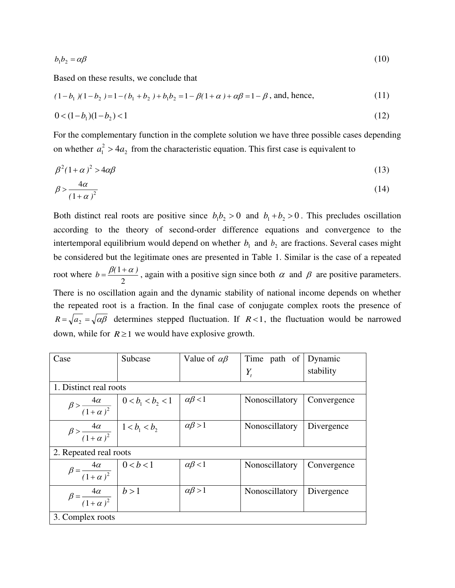$$
b_1 b_2 = \alpha \beta \tag{10}
$$

Based on these results, we conclude that

$$
(1 - b_1)(1 - b_2) = 1 - (b_1 + b_2) + b_1 b_2 = 1 - \beta(1 + \alpha) + \alpha \beta = 1 - \beta
$$
, and, hence, (11)

$$
0 < (1 - b_1)(1 - b_2) < 1 \tag{12}
$$

For the complementary function in the complete solution we have three possible cases depending on whether  $a_1^2 > 4a_2$  from the characteristic equation. This first case is equivalent to

$$
\beta^2 (1 + \alpha)^2 > 4\alpha \beta \tag{13}
$$

$$
\beta > \frac{4\alpha}{\left(1+\alpha\right)^2} \tag{14}
$$

Both distinct real roots are positive since  $b_1b_2 > 0$  and  $b_1 + b_2 > 0$ . This precludes oscillation according to the theory of second-order difference equations and convergence to the intertemporal equilibrium would depend on whether  $b_1$  and  $b_2$  are fractions. Several cases might be considered but the legitimate ones are presented in Table 1. Similar is the case of a repeated root where  $b = \frac{p(1-p)}{2}$  $b = \frac{\beta(1 + \alpha)}{2}$ , again with a positive sign since both  $\alpha$  and  $\beta$  are positive parameters. There is no oscillation again and the dynamic stability of national income depends on whether the repeated root is a fraction. In the final case of conjugate complex roots the presence of  $R = \sqrt{a_2} = \sqrt{\alpha \beta}$  determines stepped fluctuation. If *R* <1, the fluctuation would be narrowed down, while for  $R \ge 1$  we would have explosive growth.

| Case                                                                                         | Subcase                                                                                 | Value of $\alpha\beta$ | Time path of   | Dynamic     |  |  |
|----------------------------------------------------------------------------------------------|-----------------------------------------------------------------------------------------|------------------------|----------------|-------------|--|--|
|                                                                                              |                                                                                         |                        | $Y_{t}$        | stability   |  |  |
| 1. Distinct real roots                                                                       |                                                                                         |                        |                |             |  |  |
|                                                                                              | $\beta > \frac{4\alpha}{(1+\alpha)^2}$ $\begin{array}{c} 0 < b_1 < b_2 < 1 \end{array}$ | $\alpha\beta$ < 1      | Nonoscillatory | Convergence |  |  |
| $\beta > \frac{4\alpha}{(1+\alpha)^2}$   1< $b_1 < b_2$                                      |                                                                                         | $\alpha\beta > 1$      | Nonoscillatory | Divergence  |  |  |
| 2. Repeated real roots                                                                       |                                                                                         |                        |                |             |  |  |
| $\beta = \frac{4\alpha}{\left(1+\alpha\right)^2} \begin{array}{ c c } 0 < b < 1 \end{array}$ |                                                                                         | $\alpha\beta$ < 1      | Nonoscillatory | Convergence |  |  |
| $\beta = \frac{4\alpha}{(1+\alpha)^2}$ $\left  b > 1 \right $                                |                                                                                         | $\alpha\beta > 1$      | Nonoscillatory | Divergence  |  |  |
| 3. Complex roots                                                                             |                                                                                         |                        |                |             |  |  |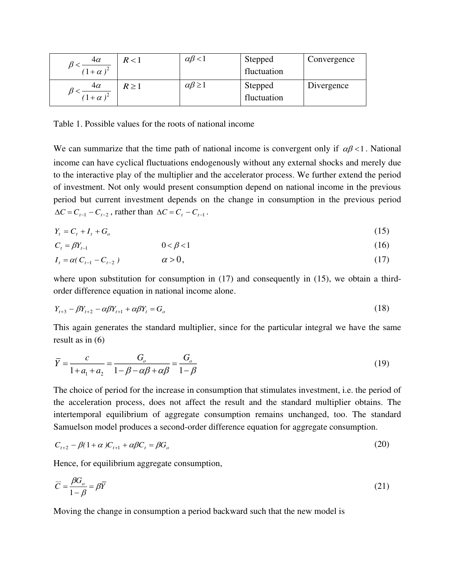| 4 $\alpha$<br>$(1+\alpha)^2$ | R < 1 | $\alpha\beta$ < 1    | Stepped<br>fluctuation | Convergence |
|------------------------------|-------|----------------------|------------------------|-------------|
| 4α<br>$(1+\alpha)^2$         | R > 1 | $\alpha\beta \geq 1$ | Stepped<br>fluctuation | Divergence  |

Table 1. Possible values for the roots of national income

We can summarize that the time path of national income is convergent only if  $\alpha\beta < 1$ . National income can have cyclical fluctuations endogenously without any external shocks and merely due to the interactive play of the multiplier and the accelerator process. We further extend the period of investment. Not only would present consumption depend on national income in the previous period but current investment depends on the change in consumption in the previous period  $\Delta C = C_{t-1} - C_{t-2}$ , rather than  $\Delta C = C_t - C_{t-1}$ .

$$
Y_t = C_t + I_t + G_o \tag{15}
$$

$$
C_t = \beta Y_{t-1} \tag{16}
$$

$$
I_t = \alpha (C_{t-1} - C_{t-2}) \qquad \alpha > 0,
$$
\n(17)

where upon substitution for consumption in  $(17)$  and consequently in  $(15)$ , we obtain a thirdorder difference equation in national income alone.

$$
Y_{t+3} - \beta Y_{t+2} - \alpha \beta Y_{t+1} + \alpha \beta Y_t = G_o \tag{18}
$$

This again generates the standard multiplier, since for the particular integral we have the same result as in (6)

$$
\overline{Y} = \frac{c}{1 + a_1 + a_2} = \frac{G_o}{1 - \beta - \alpha\beta + \alpha\beta} = \frac{G_o}{1 - \beta}
$$
\n(19)

The choice of period for the increase in consumption that stimulates investment, i.e. the period of the acceleration process, does not affect the result and the standard multiplier obtains. The intertemporal equilibrium of aggregate consumption remains unchanged, too. The standard Samuelson model produces a second-order difference equation for aggregate consumption.

$$
C_{t+2} - \beta(1+\alpha)C_{t+1} + \alpha\beta C_t = \beta G_o \tag{20}
$$

Hence, for equilibrium aggregate consumption,

$$
\overline{C} = \frac{\beta G_o}{1 - \beta} = \beta \overline{Y}
$$
\n(21)

Moving the change in consumption a period backward such that the new model is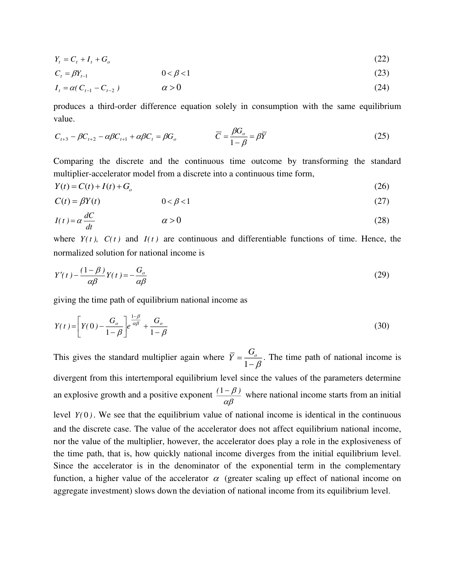$$
Y_t = C_t + I_t + G_o \tag{22}
$$

$$
C_{t} = \beta Y_{t-1} \qquad \qquad 0 < \beta < 1
$$
\n
$$
I_{t} = \alpha (C_{t-1} - C_{t-2}) \qquad \qquad \alpha > 0
$$
\n(23)

produces a third-order difference equation solely in consumption with the same equilibrium value.

$$
C_{t+3} - \beta C_{t+2} - \alpha \beta C_{t+1} + \alpha \beta C_t = \beta G_o \qquad \qquad \overline{C} = \frac{\beta G_o}{1 - \beta} = \beta \overline{Y}
$$
 (25)

Comparing the discrete and the continuous time outcome by transforming the standard multiplier-accelerator model from a discrete into a continuous time form,

$$
Y(t) = C(t) + I(t) + G_o \tag{26}
$$

$$
C(t) = \beta Y(t) \tag{27}
$$

$$
I(t) = \alpha \frac{dC}{dt} \qquad \alpha > 0 \tag{28}
$$

where  $Y(t)$ ,  $C(t)$  and  $I(t)$  are continuous and differentiable functions of time. Hence, the normalized solution for national income is

$$
Y'(t) - \frac{(1-\beta)}{\alpha \beta} Y(t) = -\frac{G_o}{\alpha \beta} \tag{29}
$$

giving the time path of equilibrium national income as

$$
Y(t) = \left[ Y(0) - \frac{G_o}{1 - \beta} \right] e^{\frac{1 - \beta}{\alpha \beta}} + \frac{G_o}{1 - \beta} \tag{30}
$$

This gives the standard multiplier again where  $Y = \frac{1}{1}$  $\bar{Y} = \frac{G_o}{\sqrt{2}}$  $=\frac{\sigma_o}{1-\beta}$ . The time path of national income is divergent from this intertemporal equilibrium level since the values of the parameters determine an explosive growth and a positive exponent  $\frac{(1-\mu)^2}{\alpha\beta}$  $\frac{(1-\beta)}{2}$  where national income starts from an initial level  $Y(0)$ . We see that the equilibrium value of national income is identical in the continuous and the discrete case. The value of the accelerator does not affect equilibrium national income, nor the value of the multiplier, however, the accelerator does play a role in the explosiveness of the time path, that is, how quickly national income diverges from the initial equilibrium level. Since the accelerator is in the denominator of the exponential term in the complementary function, a higher value of the accelerator  $\alpha$  (greater scaling up effect of national income on aggregate investment) slows down the deviation of national income from its equilibrium level.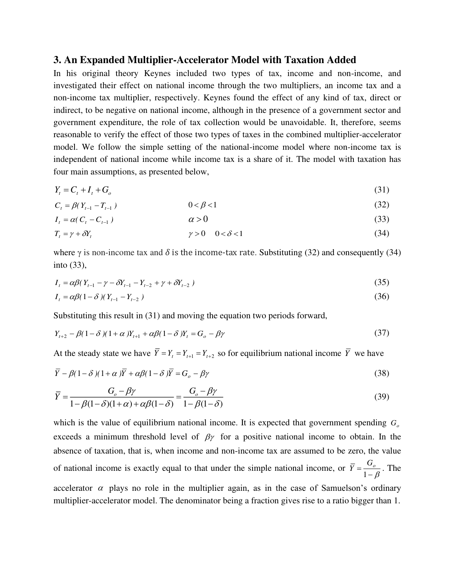#### **3. An Expanded Multiplier-Accelerator Model with Taxation Added**

In his original theory Keynes included two types of tax, income and non-income, and investigated their effect on national income through the two multipliers, an income tax and a non-income tax multiplier, respectively. Keynes found the effect of any kind of tax, direct or indirect, to be negative on national income, although in the presence of a government sector and government expenditure, the role of tax collection would be unavoidable. It, therefore, seems reasonable to verify the effect of those two types of taxes in the combined multiplier-accelerator model. We follow the simple setting of the national-income model where non-income tax is independent of national income while income tax is a share of it. The model with taxation has four main assumptions, as presented below,

$$
Y_t = C_t + I_t + G_o \tag{31}
$$

$$
C_t = \beta (Y_{t-1} - T_{t-1}) \tag{32}
$$

$$
I_t = \alpha (C_t - C_{t-1}) \tag{33}
$$

$$
T_t = \gamma + \delta Y_t \qquad \gamma > 0 \quad 0 < \delta < 1 \tag{34}
$$

where  $\gamma$  is non-income tax and  $\delta$  is the income-tax rate. Substituting (32) and consequently (34) into (33),

$$
I_{t} = \alpha \beta (Y_{t-1} - \gamma - \delta Y_{t-1} - Y_{t-2} + \gamma + \delta Y_{t-2})
$$
\n(35)

$$
I_t = \alpha \beta (1 - \delta) (Y_{t-1} - Y_{t-2}) \tag{36}
$$

Substituting this result in (31) and moving the equation two periods forward,

$$
Y_{t+2} - \beta(1-\delta)(1+\alpha)Y_{t+1} + \alpha\beta(1-\delta)Y_t = G_o - \beta\gamma
$$
\n
$$
(37)
$$

At the steady state we have  $Y = Y_t = Y_{t+1} = Y_{t+2}$  so for equilibrium national income *Y* we have

$$
\overline{Y} - \beta(1 - \delta)(1 + \alpha)\overline{Y} + \alpha\beta(1 - \delta)\overline{Y} = G_o - \beta\gamma
$$
\n(38)

$$
\overline{Y} = \frac{G_o - \beta \gamma}{1 - \beta(1 - \delta)(1 + \alpha) + \alpha \beta(1 - \delta)} = \frac{G_o - \beta \gamma}{1 - \beta(1 - \delta)}
$$
(39)

which is the value of equilibrium national income. It is expected that government spending  $G<sub>o</sub>$ exceeds a minimum threshold level of  $\beta\gamma$  for a positive national income to obtain. In the absence of taxation, that is, when income and non-income tax are assumed to be zero, the value of national income is exactly equal to that under the simple national income, or  $Y = \frac{0}{1-\beta}$  $\overline{Y} = \frac{G_o}{1 - g}$ . The accelerator  $\alpha$  plays no role in the multiplier again, as in the case of Samuelson's ordinary multiplier-accelerator model. The denominator being a fraction gives rise to a ratio bigger than 1.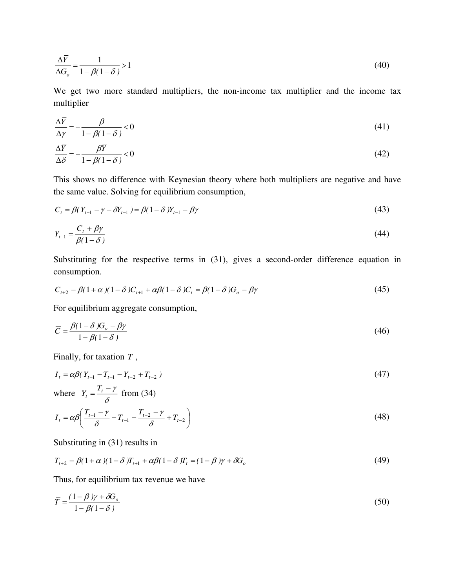$$
\frac{\Delta \overline{Y}}{\Delta G_o} = \frac{1}{1 - \beta(1 - \delta)} > 1\tag{40}
$$

We get two more standard multipliers, the non-income tax multiplier and the income tax multiplier

$$
\frac{\Delta \bar{Y}}{\Delta \gamma} = -\frac{\beta}{1 - \beta(1 - \delta)} < 0
$$
\n(41)

$$
\frac{\Delta \overline{Y}}{\Delta \delta} = -\frac{\beta \overline{Y}}{1 - \beta (1 - \delta)} < 0
$$
\n(42)

This shows no difference with Keynesian theory where both multipliers are negative and have the same value. Solving for equilibrium consumption,

$$
C_t = \beta (Y_{t-1} - \gamma - \delta Y_{t-1}) = \beta (1 - \delta) Y_{t-1} - \beta \gamma
$$
\n(43)

$$
Y_{t-1} = \frac{C_t + \beta \gamma}{\beta (1 - \delta)}\tag{44}
$$

Substituting for the respective terms in (31), gives a second-order difference equation in consumption.

$$
C_{t+2} - \beta(1+\alpha)(1-\delta)C_{t+1} + \alpha\beta(1-\delta)C_t = \beta(1-\delta)G_o - \beta\gamma
$$
\n
$$
(45)
$$

For equilibrium aggregate consumption,

$$
\overline{C} = \frac{\beta(1-\delta)G_o - \beta\gamma}{1-\beta(1-\delta)}
$$
(46)

Finally, for taxation *<sup>T</sup>* ,

$$
I_{t} = \alpha \beta (Y_{t-1} - T_{t-1} - Y_{t-2} + T_{t-2})
$$
\n
$$
(47)
$$

where 
$$
Y_t = \frac{I_t - \gamma}{\delta}
$$
 from (34)

$$
I_{t} = \alpha \beta \left( \frac{T_{t-1} - \gamma}{\delta} - T_{t-1} - \frac{T_{t-2} - \gamma}{\delta} + T_{t-2} \right)
$$
(48)

Substituting in (31) results in

$$
T_{t+2} - \beta(1+\alpha)(1-\delta)T_{t+1} + \alpha\beta(1-\delta)T_t = (1-\beta)\gamma + \delta G_o
$$
\n
$$
\tag{49}
$$

Thus, for equilibrium tax revenue we have

$$
\overline{T} = \frac{(1 - \beta)\gamma + \delta G_o}{1 - \beta(1 - \delta)}
$$
\n(50)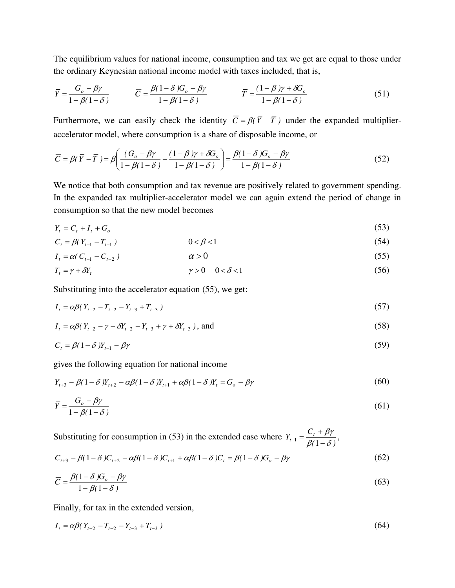The equilibrium values for national income, consumption and tax we get are equal to those under the ordinary Keynesian national income model with taxes included, that is,

$$
\overline{Y} = \frac{G_o - \beta \gamma}{1 - \beta(1 - \delta)} \qquad \overline{C} = \frac{\beta(1 - \delta)G_o - \beta \gamma}{1 - \beta(1 - \delta)} \qquad \overline{T} = \frac{(1 - \beta)\gamma + \delta G_o}{1 - \beta(1 - \delta)}
$$
(51)

Furthermore, we can easily check the identity  $\overline{C} = \beta(\overline{Y} - \overline{T})$  under the expanded multiplieraccelerator model, where consumption is a share of disposable income, or

$$
\overline{C} = \beta(\overline{Y} - \overline{T}) = \beta \left( \frac{(G_o - \beta \gamma)}{1 - \beta(1 - \delta)} - \frac{(1 - \beta)\gamma + \delta G_o}{1 - \beta(1 - \delta)} \right) = \frac{\beta(1 - \delta)G_o - \beta \gamma}{1 - \beta(1 - \delta)}
$$
(52)

We notice that both consumption and tax revenue are positively related to government spending. In the expanded tax multiplier-accelerator model we can again extend the period of change in consumption so that the new model becomes

$$
Y_t = C_t + I_t + G_o \tag{53}
$$

$$
C_t = \beta (Y_{t-1} - T_{t-1}) \tag{54}
$$

$$
I_t = \alpha (C_{t-1} - C_{t-2}) \tag{55}
$$

$$
T_t = \gamma + \delta Y_t \qquad \gamma > 0 \quad 0 < \delta < 1 \tag{56}
$$

Substituting into the accelerator equation (55), we get:

$$
I_t = \alpha \beta (Y_{t-2} - T_{t-2} - Y_{t-3} + T_{t-3})
$$
\n<sup>(57)</sup>

$$
I_{t} = \alpha \beta (Y_{t-2} - \gamma - \delta Y_{t-2} - Y_{t-3} + \gamma + \delta Y_{t-3}), \text{ and}
$$
 (58)

$$
C_t = \beta(1 - \delta)Y_{t-1} - \beta\gamma\tag{59}
$$

gives the following equation for national income

$$
Y_{t+3} - \beta (1 - \delta) Y_{t+2} - \alpha \beta (1 - \delta) Y_{t+1} + \alpha \beta (1 - \delta) Y_t = G_o - \beta \gamma
$$
\n(60)

$$
\overline{Y} = \frac{G_o - \beta \gamma}{1 - \beta (1 - \delta)}
$$
\n(61)

Substituting for consumption in (53) in the extended case where  $Y_{t-1} = \frac{C_t + \beta T}{\beta(1-\delta)}$  $Y_{t-1} = \frac{C_t + \beta \gamma}{\beta (1 - \delta)}$  $\beta\gamma$ +  $\frac{1}{\beta(1-\delta)},$ 

$$
C_{t+3} - \beta(1-\delta)C_{t+2} - \alpha\beta(1-\delta)C_{t+1} + \alpha\beta(1-\delta)C_t = \beta(1-\delta)G_o - \beta\gamma
$$
\n
$$
(62)
$$

$$
\overline{C} = \frac{\beta(1-\delta)G_o - \beta\gamma}{1-\beta(1-\delta)}
$$
(63)

Finally, for tax in the extended version,

$$
I_t = \alpha \beta (Y_{t-2} - T_{t-2} - Y_{t-3} + T_{t-3})
$$
\n<sup>(64)</sup>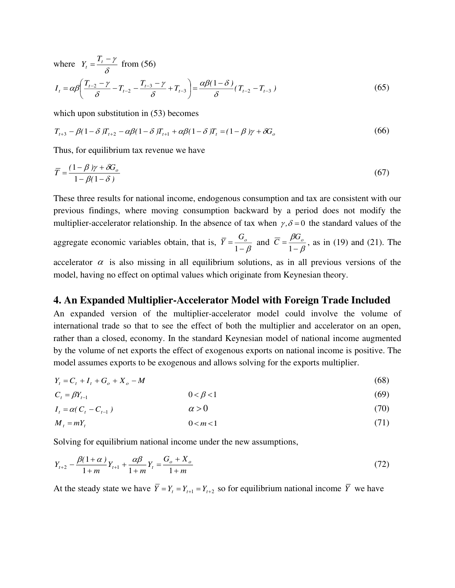where  $Y_t = \frac{Y_t}{\delta}$  $\frac{I_t - \gamma}{I}$  $Y_t = \frac{T_t - \gamma}{r}$  from (56)  $I_t = \alpha \beta \left( \frac{T_{t-2} - \gamma}{s} - T_{t-2} - \frac{T_{t-3} - \gamma}{s} + T_{t-3} \right) = \frac{\alpha \beta (1-\delta)}{s} (T_{t-2} - T_{t-3})$  $T_{t-2} - T_{t-2} - \frac{T-3}{T_{t-3}} + T_{t-3} = \frac{T_{t-2} - T_{t-2}}{T_{t-2}} - T_{t-2}$  $=\frac{\mu p(1-\mu)}{2}$ J  $\left(\frac{T_{t-2} - \gamma}{T_{t-2} - T_{t-2}} - \frac{T_{t-3} - \gamma}{T_{t-3}} + T_{t-3}\right)$ l  $=\alpha\beta\left(\frac{T_{t-2}-\gamma}{\delta}-T_{t-2}-\frac{T_{t-3}-\gamma}{\delta}+T_{t-3}\right)=\frac{\alpha\beta(1-\gamma)}{\delta}$  $\alpha\beta(1-\delta)$ δ γ δ  $\alpha\beta\left(\frac{I_{t-2}-\gamma}{2}-T_{t-2}-\frac{I_{t-3}-\gamma}{2}+T_{t-3}\right)=\frac{\alpha\beta(1-\delta)}{2}(T_{t-2}-T_{t-3})$ (65)

which upon substitution in  $(53)$  becomes

$$
T_{t+3} - \beta(1 - \delta)T_{t+2} - \alpha\beta(1 - \delta)T_{t+1} + \alpha\beta(1 - \delta)T_t = (1 - \beta)\gamma + \delta G_o
$$
\n
$$
(66)
$$

Thus, for equilibrium tax revenue we have

$$
\overline{T} = \frac{(1 - \beta)\gamma + \delta G_o}{1 - \beta(1 - \delta)}
$$
\n(67)

These three results for national income, endogenous consumption and tax are consistent with our previous findings, where moving consumption backward by a period does not modify the multiplier-accelerator relationship. In the absence of tax when  $\gamma$ ,  $\delta$  = 0 the standard values of the

aggregate economic variables obtain, that is,  $\overline{Y} = \frac{Q_o}{1 - \beta}$  $\overline{Y} = \frac{G_o}{1-\beta}$  and  $\overline{C} = \frac{\beta G_o}{1-\beta}$  $\beta$ ( −  $\overline{C} = \frac{\beta G_o}{1 - \beta}$ , as in (19) and (21). The

accelerator  $\alpha$  is also missing in all equilibrium solutions, as in all previous versions of the model, having no effect on optimal values which originate from Keynesian theory.

#### **4. An Expanded Multiplier-Accelerator Model with Foreign Trade Included**

An expanded version of the multiplier-accelerator model could involve the volume of international trade so that to see the effect of both the multiplier and accelerator on an open, rather than a closed, economy. In the standard Keynesian model of national income augmented by the volume of net exports the effect of exogenous exports on national income is positive. The model assumes exports to be exogenous and allows solving for the exports multiplier.

$$
Y_t = C_t + I_t + G_o + X_o - M \tag{68}
$$

$$
C_t = \beta Y_{t-1} \tag{69}
$$

$$
I_t = \alpha (C_t - C_{t-1}) \tag{70}
$$

$$
M_t = mY_t \tag{71}
$$

Solving for equilibrium national income under the new assumptions,

$$
Y_{t+2} - \frac{\beta(1+\alpha)}{1+m}Y_{t+1} + \frac{\alpha\beta}{1+m}Y_t = \frac{G_o + X_o}{1+m}
$$
\n(72)

At the steady state we have  $Y = Y_t = Y_{t+1} = Y_{t+2}$  so for equilibrium national income *Y* we have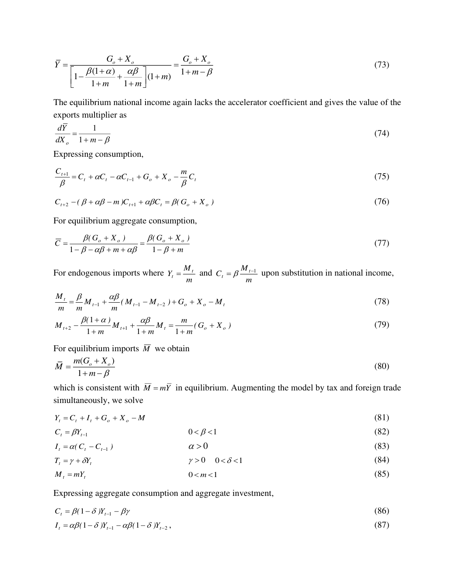$$
\overline{Y} = \frac{G_o + X_o}{\left[1 - \frac{\beta(1+\alpha)}{1+m} + \frac{\alpha\beta}{1+m}\right](1+m)} = \frac{G_o + X_o}{1+m-\beta}
$$
(73)

The equilibrium national income again lacks the accelerator coefficient and gives the value of the exports multiplier as

$$
\frac{d\overline{Y}}{dX_{\rho}} = \frac{1}{1 + m - \beta} \tag{74}
$$

Expressing consumption,

$$
\frac{C_{t+1}}{\beta} = C_t + \alpha C_t - \alpha C_{t-1} + G_o + X_o - \frac{m}{\beta} C_t
$$
\n(75)

$$
C_{t+2} - (\beta + \alpha\beta - m)C_{t+1} + \alpha\beta C_t = \beta(G_o + X_o)
$$
\n
$$
(76)
$$

For equilibrium aggregate consumption,

$$
\overline{C} = \frac{\beta (G_o + X_o)}{1 - \beta - \alpha \beta + m + \alpha \beta} = \frac{\beta (G_o + X_o)}{1 - \beta + m}
$$
\n(77)

For endogenous imports where  $Y_t = \frac{m}{m}$  $Y_t = \frac{M_t}{m}$  and  $C_t = \beta \frac{M_t}{m}$  $C_t = \beta \frac{M_{t-1}}{M_{t-1}}$  upon substitution in national income,

$$
\frac{M_t}{m} = \frac{\beta}{m} M_{t-1} + \frac{\alpha \beta}{m} (M_{t-1} - M_{t-2}) + G_o + X_o - M_t
$$
\n(78)

$$
M_{t+2} - \frac{\beta(1+\alpha)}{1+m} M_{t+1} + \frac{\alpha\beta}{1+m} M_t = \frac{m}{1+m} (G_o + X_o)
$$
 (79)

For equilibrium imports  $\overline{M}$  we obtain

$$
\overline{M} = \frac{m(G_o + X_o)}{1 + m - \beta} \tag{80}
$$

which is consistent with  $\overline{M} = m\overline{Y}$  in equilibrium. Augmenting the model by tax and foreign trade simultaneously, we solve

$$
Y_t = C_t + I_t + G_o + X_o - M \tag{81}
$$

$$
C_t = \beta Y_{t-1} \tag{82}
$$

$$
I_t = \alpha (C_t - C_{t-1}) \tag{83}
$$

$$
T_t = \gamma + \delta Y_t
$$
  
\n
$$
M_t = mY_t
$$
  
\n
$$
0 < m < 1
$$
\n(84)  
\n
$$
0 < m < 1
$$
\n(85)

Expressing aggregate consumption and aggregate investment,

$$
C_t = \beta(1 - \delta)Y_{t-1} - \beta\gamma\tag{86}
$$

$$
I_t = \alpha \beta (1 - \delta) Y_{t-1} - \alpha \beta (1 - \delta) Y_{t-2},
$$
\n
$$
(87)
$$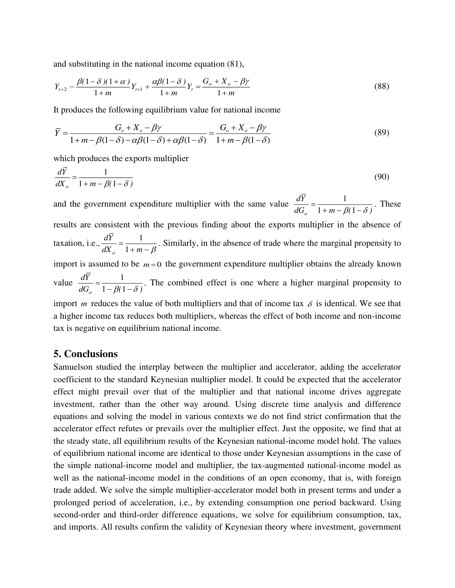and substituting in the national income equation (81),

$$
Y_{t+2} - \frac{\beta(1-\delta)(1+\alpha)}{1+m}Y_{t+1} + \frac{\alpha\beta(1-\delta)}{1+m}Y_t = \frac{G_o + X_o - \beta\gamma}{1+m}
$$
(88)

It produces the following equilibrium value for national income

$$
\overline{Y} = \frac{G_o + X_o - \beta \gamma}{1 + m - \beta(1 - \delta) - \alpha \beta(1 - \delta) + \alpha \beta(1 - \delta)} = \frac{G_o + X_o - \beta \gamma}{1 + m - \beta(1 - \delta)}
$$
(89)

which produces the exports multiplier

tax is negative on equilibrium national income.

$$
\frac{dY}{dX_o} = \frac{1}{1 + m - \beta(1 - \delta)}\tag{90}
$$

and the government expenditure multiplier with the same value  $\frac{dI}{dG_0} = \frac{1}{1 + m - \beta(1 - \delta)}$ *Yd*  $\frac{1}{\rho} = \frac{1}{1 + m - \beta(1 - \delta)}$  $\frac{1}{2(1-3)}$ . These results are consistent with the previous finding about the exports multiplier in the absence of taxation, i.e.,  $\frac{dX}{dX_n} = \frac{1}{1 + m - \beta}$ *Yd <sup>o</sup>* 1  $\frac{1}{\sqrt{2}}$ . Similarly, in the absence of trade where the marginal propensity to import is assumed to be  $m=0$  the government expenditure multiplier obtains the already known value  $\frac{dI}{dG_{o}} = \frac{1}{1 - \beta(1 - \delta)}$ *Yd*  $\frac{1}{\rho} = \frac{1}{1 - \beta(1 - \delta)}$  $\frac{1}{2}$ . The combined effect is one where a higher marginal propensity to import *m* reduces the value of both multipliers and that of income tax  $\delta$  is identical. We see that a higher income tax reduces both multipliers, whereas the effect of both income and non-income

#### **5. Conclusions**

Samuelson studied the interplay between the multiplier and accelerator, adding the accelerator coefficient to the standard Keynesian multiplier model. It could be expected that the accelerator effect might prevail over that of the multiplier and that national income drives aggregate investment, rather than the other way around. Using discrete time analysis and difference equations and solving the model in various contexts we do not find strict confirmation that the accelerator effect refutes or prevails over the multiplier effect. Just the opposite, we find that at the steady state, all equilibrium results of the Keynesian national-income model hold. The values of equilibrium national income are identical to those under Keynesian assumptions in the case of the simple national-income model and multiplier, the tax-augmented national-income model as well as the national-income model in the conditions of an open economy, that is, with foreign trade added. We solve the simple multiplier-accelerator model both in present terms and under a prolonged period of acceleration, i.e., by extending consumption one period backward. Using second-order and third-order difference equations, we solve for equilibrium consumption, tax, and imports. All results confirm the validity of Keynesian theory where investment, government